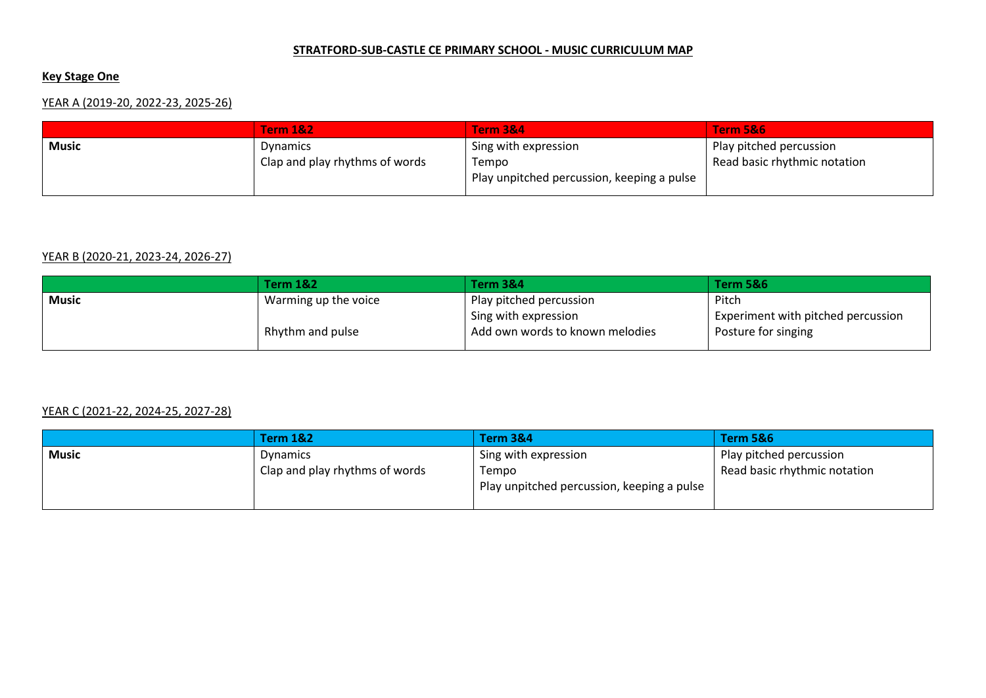#### **STRATFORD-SUB-CASTLE CE PRIMARY SCHOOL - MUSIC CURRICULUM MAP**

## **Key Stage One**

# YEAR A (2019-20, 2022-23, 2025-26)

|       | <b>Term 1&amp;2</b>            | <b>Term 3&amp;4</b>                        | Term 5&6                     |
|-------|--------------------------------|--------------------------------------------|------------------------------|
| Music | Dynamics                       | Sing with expression                       | Play pitched percussion      |
|       | Clap and play rhythms of words | Tempo                                      | Read basic rhythmic notation |
|       |                                | Play unpitched percussion, keeping a pulse |                              |
|       |                                |                                            |                              |

### YEAR B (2020-21, 2023-24, 2026-27)

|       | <b>Term 1&amp;2</b>  | <b>Term 3&amp;4</b>             | <b>Term 5&amp;6</b>                |
|-------|----------------------|---------------------------------|------------------------------------|
| Music | Warming up the voice | Play pitched percussion         | Pitch                              |
|       |                      | Sing with expression            | Experiment with pitched percussion |
|       | Rhythm and pulse     | Add own words to known melodies | Posture for singing                |

### YEAR C (2021-22, 2024-25, 2027-28)

|       | <b>Term 1&amp;2</b>            | <b>Term 3&amp;4</b>                        | <b>Term 5&amp;6</b>          |
|-------|--------------------------------|--------------------------------------------|------------------------------|
| Music | <b>Dynamics</b>                | Sing with expression                       | Play pitched percussion      |
|       | Clap and play rhythms of words | Tempo                                      | Read basic rhythmic notation |
|       |                                | Play unpitched percussion, keeping a pulse |                              |
|       |                                |                                            |                              |